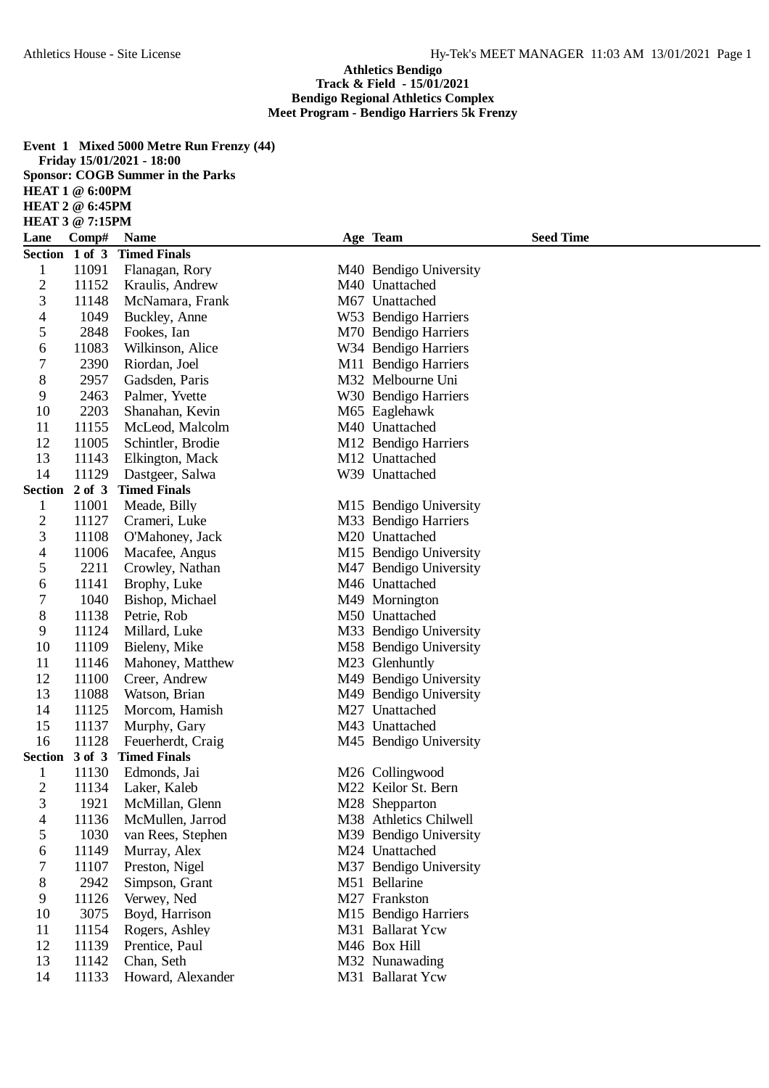## **Athletics Bendigo Track & Field - 15/01/2021 Bendigo Regional Athletics Complex Meet Program - Bendigo Harriers 5k Frenzy**

**Event 1 Mixed 5000 Metre Run Frenzy (44) Friday 15/01/2021 - 18:00 Sponsor: COGB Summer in the Parks HEAT 1 @ 6:00PM HEAT 2 @ 6:45PM HEAT 3 @ 7:15PM**

| Lane           | Comp#          | <b>Name</b>                              | <b>Seed Time</b><br>Age Team |
|----------------|----------------|------------------------------------------|------------------------------|
| Section 1 of 3 |                | <b>Timed Finals</b>                      |                              |
| $\mathbf 1$    | 11091          | Flanagan, Rory                           | M40 Bendigo University       |
| $\overline{c}$ | 11152          | Kraulis, Andrew                          | M40 Unattached               |
| 3              | 11148          | McNamara, Frank                          | M67 Unattached               |
| 4              | 1049           | Buckley, Anne                            | W53 Bendigo Harriers         |
| 5              | 2848           | Fookes, Ian                              | M70 Bendigo Harriers         |
| 6              | 11083          | Wilkinson, Alice                         | W34 Bendigo Harriers         |
| 7              | 2390           | Riordan, Joel                            | M11 Bendigo Harriers         |
| $8\,$          | 2957           | Gadsden, Paris                           | M32 Melbourne Uni            |
| 9              | 2463           | Palmer, Yvette                           | W30 Bendigo Harriers         |
| 10             | 2203           | Shanahan, Kevin                          | M65 Eaglehawk                |
| 11             | 11155          | McLeod, Malcolm                          | M40 Unattached               |
| 12             | 11005          | Schintler, Brodie                        | M12 Bendigo Harriers         |
| 13             | 11143          | Elkington, Mack                          | M12 Unattached               |
| 14             | 11129          | Dastgeer, Salwa                          | W39 Unattached               |
| Section 2 of 3 |                | <b>Timed Finals</b>                      |                              |
| 1              | 11001          | Meade, Billy                             | M15 Bendigo University       |
| $\overline{c}$ | 11127          | Crameri, Luke                            | M33 Bendigo Harriers         |
| 3              | 11108          | O'Mahoney, Jack                          | M20 Unattached               |
| 4              | 11006          | Macafee, Angus                           | M15 Bendigo University       |
| 5              | 2211           | Crowley, Nathan                          | M47 Bendigo University       |
| 6              | 11141          | Brophy, Luke                             | M46 Unattached               |
| 7              | 1040           | Bishop, Michael                          | M49 Mornington               |
| 8              | 11138          | Petrie, Rob                              | M50 Unattached               |
| 9              | 11124          | Millard, Luke                            | M33 Bendigo University       |
| 10             | 11109          | Bieleny, Mike                            | M58 Bendigo University       |
| 11             | 11146          | Mahoney, Matthew                         | M23 Glenhuntly               |
| 12             | 11100          | Creer, Andrew                            | M49 Bendigo University       |
| 13             | 11088          | Watson, Brian                            | M49 Bendigo University       |
| 14<br>15       | 11125          | Morcom, Hamish                           | M27 Unattached               |
| 16             | 11137<br>11128 | Murphy, Gary                             | M43 Unattached               |
| Section 3 of 3 |                | Feuerherdt, Craig<br><b>Timed Finals</b> | M45 Bendigo University       |
| 1              | 11130          | Edmonds, Jai                             | M26 Collingwood              |
| $\overline{2}$ | 11134          | Laker, Kaleb                             | M22 Keilor St. Bern          |
| 3              | 1921           | McMillan, Glenn                          | M28 Shepparton               |
| $\overline{4}$ | 11136          | McMullen, Jarrod                         | M38 Athletics Chilwell       |
| 5              | 1030           | van Rees, Stephen                        | M39 Bendigo University       |
| 6              | 11149          | Murray, Alex                             | M24 Unattached               |
| 7              | 11107          | Preston, Nigel                           | M37 Bendigo University       |
| $8\,$          | 2942           | Simpson, Grant                           | M51 Bellarine                |
| 9              | 11126          | Verwey, Ned                              | M27 Frankston                |
| 10             | 3075           | Boyd, Harrison                           | M15 Bendigo Harriers         |
| 11             | 11154          | Rogers, Ashley                           | M31 Ballarat Ycw             |
| 12             | 11139          | Prentice, Paul                           | M46 Box Hill                 |
| 13             | 11142          | Chan, Seth                               | M32 Nunawading               |
| 14             | 11133          | Howard, Alexander                        | M31 Ballarat Ycw             |
|                |                |                                          |                              |